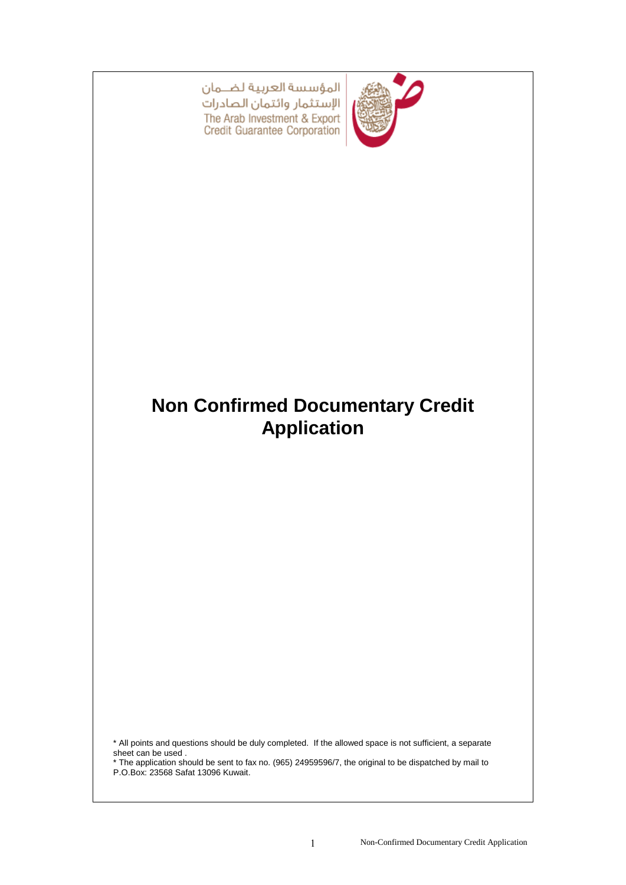

المؤسسة العربية لضمان الإستثمار وائتمان الصادرات The Arab Investment & Export Credit Guarantee Corporation

# **Non Confirmed Documentary Credit Application**

\* All points and questions should be duly completed. If the allowed space is not sufficient, a separate sheet can be used .

\* The application should be sent to fax no. (965) 24959596/7, the original to be dispatched by mail to P.O.Box: 23568 Safat 13096 Kuwait.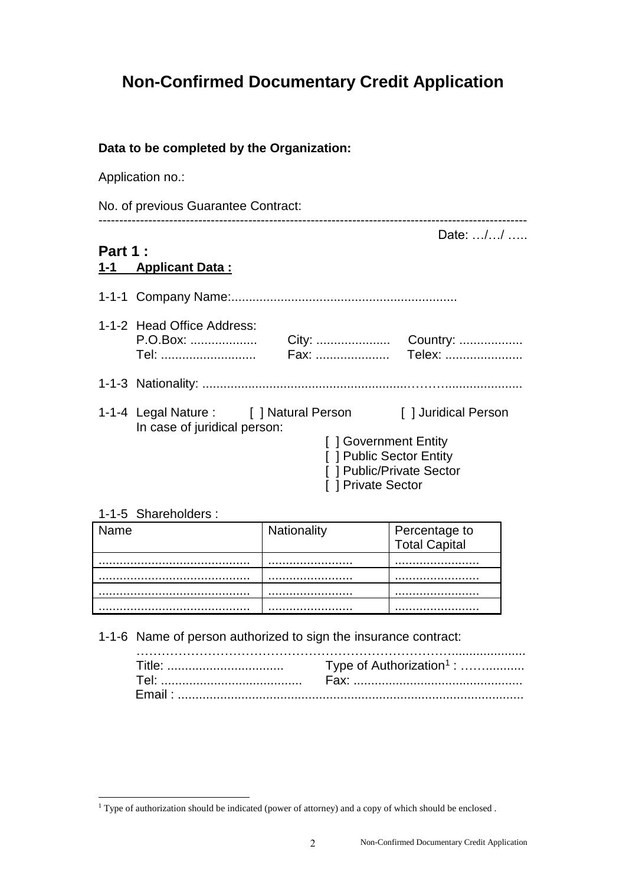## **Non-Confirmed Documentary Credit Application**

#### **Data to be completed by the Organization:**

Application no.:

| No. of previous Guarantee Contract:   |                                                                               |                                                                                                                                                             |  |  |
|---------------------------------------|-------------------------------------------------------------------------------|-------------------------------------------------------------------------------------------------------------------------------------------------------------|--|--|
| <b>Part 1:</b><br>1-1 Applicant Data: |                                                                               | Date: //                                                                                                                                                    |  |  |
|                                       |                                                                               |                                                                                                                                                             |  |  |
|                                       |                                                                               |                                                                                                                                                             |  |  |
|                                       |                                                                               |                                                                                                                                                             |  |  |
|                                       | [] Government Entity<br>[ ] Public Sector Entity<br>[ ] Public/Private Sector |                                                                                                                                                             |  |  |
|                                       |                                                                               | 1-1-2 Head Office Address:<br>P.O.Box:<br>1-1-4 Legal Nature: [ ] Natural Person [ ] Juridical Person<br>In case of juridical person:<br>[ ] Private Sector |  |  |

#### 1-1-5 Shareholders :

l

| ame | Nationality | Percentage to<br>Total Capital |  |
|-----|-------------|--------------------------------|--|
|     |             |                                |  |
|     |             |                                |  |
|     |             |                                |  |
|     |             |                                |  |
|     |             |                                |  |

1-1-6 Name of person authorized to sign the insurance contract:

 $1$  Type of authorization should be indicated (power of attorney) and a copy of which should be enclosed.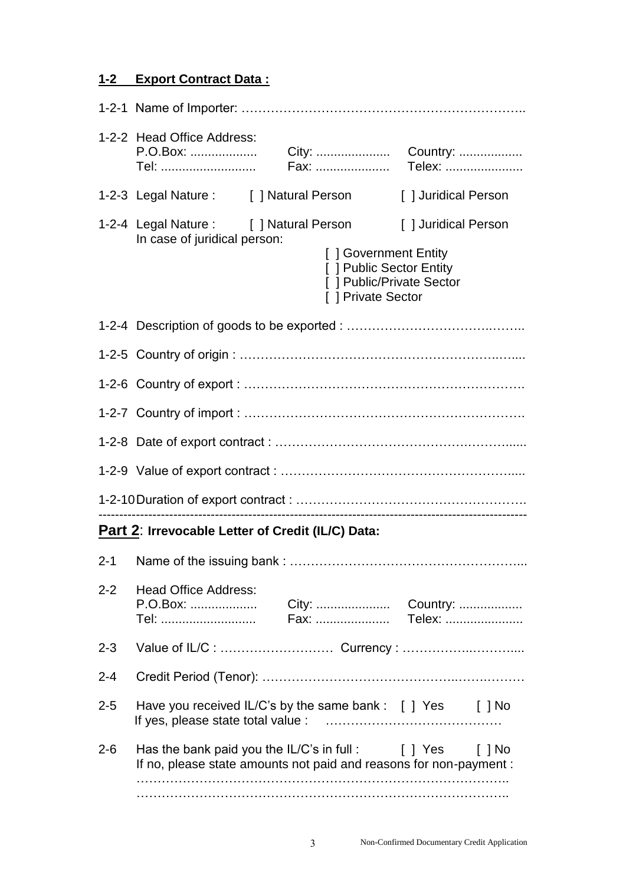### **1-2 Export Contract Data :**

|         | 1-2-2 Head Office Address:<br>P.O.Box:<br>Tel:                                                                                                       |  |                                                                                                                             |                      |
|---------|------------------------------------------------------------------------------------------------------------------------------------------------------|--|-----------------------------------------------------------------------------------------------------------------------------|----------------------|
|         | 1-2-3 Legal Nature : [ ] Natural Person                                                                                                              |  | [ ] Juridical Person                                                                                                        |                      |
|         | 1-2-4 Legal Nature : [ ] Natural Person<br>In case of juridical person:                                                                              |  | [ ] Juridical Person<br>[] Government Entity<br>[ ] Public Sector Entity<br>[ ] Public/Private Sector<br>[ ] Private Sector |                      |
|         |                                                                                                                                                      |  |                                                                                                                             |                      |
|         |                                                                                                                                                      |  |                                                                                                                             |                      |
|         |                                                                                                                                                      |  |                                                                                                                             |                      |
|         |                                                                                                                                                      |  |                                                                                                                             |                      |
|         |                                                                                                                                                      |  |                                                                                                                             |                      |
|         |                                                                                                                                                      |  |                                                                                                                             |                      |
|         |                                                                                                                                                      |  |                                                                                                                             |                      |
|         | Part 2: Irrevocable Letter of Credit (IL/C) Data:                                                                                                    |  |                                                                                                                             |                      |
| $2 - 1$ |                                                                                                                                                      |  |                                                                                                                             |                      |
| $2 - 2$ | <b>Head Office Address:</b><br>P.O.Box:<br>Tel:                                                                                                      |  | Fax:  Telex:                                                                                                                |                      |
| $2 - 3$ |                                                                                                                                                      |  |                                                                                                                             |                      |
| $2 - 4$ |                                                                                                                                                      |  |                                                                                                                             |                      |
| $2 - 5$ | Have you received IL/C's by the same bank : [ ] Yes [ ] No                                                                                           |  |                                                                                                                             |                      |
| $2 - 6$ | Has the bank paid you the IL/C's in full : $\begin{bmatrix} \end{bmatrix}$ Yes<br>If no, please state amounts not paid and reasons for non-payment : |  |                                                                                                                             | $\lceil \,\rceil$ No |
|         |                                                                                                                                                      |  |                                                                                                                             |                      |